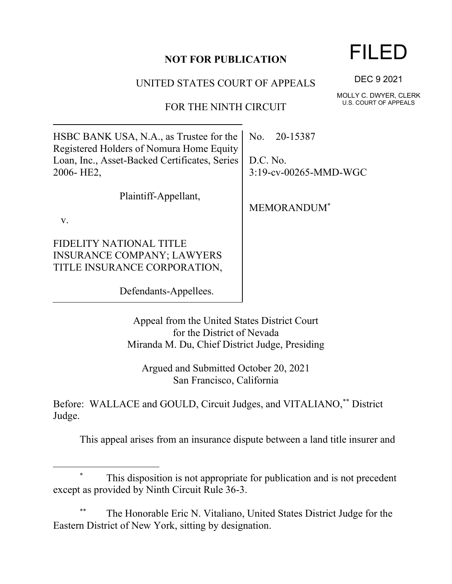## **NOT FOR PUBLICATION**

UNITED STATES COURT OF APPEALS

FOR THE NINTH CIRCUIT

HSBC BANK USA, N.A., as Trustee for the Registered Holders of Nomura Home Equity Loan, Inc., Asset-Backed Certificates, Series 2006- HE2,

Plaintiff-Appellant,

v.

FIDELITY NATIONAL TITLE INSURANCE COMPANY; LAWYERS TITLE INSURANCE CORPORATION,

Defendants-Appellees.

Appeal from the United States District Court for the District of Nevada Miranda M. Du, Chief District Judge, Presiding

Argued and Submitted October 20, 2021 San Francisco, California

Before: WALLACE and GOULD, Circuit Judges, and VITALIANO,\*\* District Judge.

This appeal arises from an insurance dispute between a land title insurer and

## This disposition is not appropriate for publication and is not precedent except as provided by Ninth Circuit Rule 36-3.

The Honorable Eric N. Vitaliano, United States District Judge for the Eastern District of New York, sitting by designation.

## FILED

DEC 9 2021

MOLLY C. DWYER, CLERK U.S. COURT OF APPEALS

No. 20-15387

D.C. No. 3:19-cv-00265-MMD-WGC

MEMORANDUM\*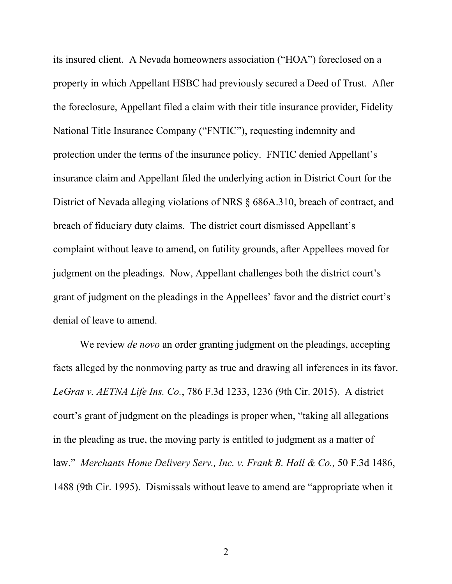its insured client. A Nevada homeowners association ("HOA") foreclosed on a property in which Appellant HSBC had previously secured a Deed of Trust. After the foreclosure, Appellant filed a claim with their title insurance provider, Fidelity National Title Insurance Company ("FNTIC"), requesting indemnity and protection under the terms of the insurance policy. FNTIC denied Appellant's insurance claim and Appellant filed the underlying action in District Court for the District of Nevada alleging violations of NRS § 686A.310, breach of contract, and breach of fiduciary duty claims. The district court dismissed Appellant's complaint without leave to amend, on futility grounds, after Appellees moved for judgment on the pleadings. Now, Appellant challenges both the district court's grant of judgment on the pleadings in the Appellees' favor and the district court's denial of leave to amend.

We review *de novo* an order granting judgment on the pleadings, accepting facts alleged by the nonmoving party as true and drawing all inferences in its favor. *LeGras v. AETNA Life Ins. Co.*, 786 F.3d 1233, 1236 (9th Cir. 2015). A district court's grant of judgment on the pleadings is proper when, "taking all allegations in the pleading as true, the moving party is entitled to judgment as a matter of law." *Merchants Home Delivery Serv., Inc. v. Frank B. Hall & Co.,* 50 F.3d 1486, 1488 (9th Cir. 1995). Dismissals without leave to amend are "appropriate when it

2 a set of  $\sim$  2 a set of  $\sim$  2 a set of  $\sim$  2 a set of  $\sim$  3 a set of  $\sim$  3 a set of  $\sim$  3 a set of  $\sim$  3 a set of  $\sim$  3 a set of  $\sim$  3 a set of  $\sim$  3 a set of  $\sim$  3 a set of  $\sim$  3 a set of  $\sim$  3 a set of  $\sim$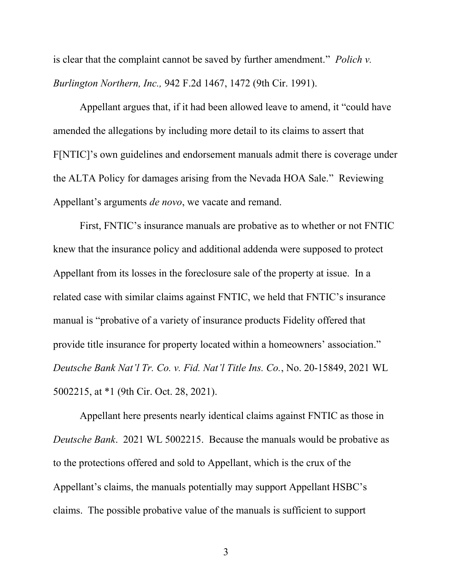is clear that the complaint cannot be saved by further amendment." *Polich v. Burlington Northern, Inc.,* 942 F.2d 1467, 1472 (9th Cir. 1991).

Appellant argues that, if it had been allowed leave to amend, it "could have amended the allegations by including more detail to its claims to assert that F[NTIC]'s own guidelines and endorsement manuals admit there is coverage under the ALTA Policy for damages arising from the Nevada HOA Sale."Reviewing Appellant's arguments *de novo*, we vacate and remand.

First, FNTIC's insurance manuals are probative as to whether or not FNTIC knew that the insurance policy and additional addenda were supposed to protect Appellant from its losses in the foreclosure sale of the property at issue. In a related case with similar claims against FNTIC, we held that FNTIC's insurance manual is "probative of a variety of insurance products Fidelity offered that provide title insurance for property located within a homeowners' association." *Deutsche Bank Nat'l Tr. Co. v. Fid. Nat'l Title Ins. Co.*, No. 20-15849, 2021 WL 5002215, at \*1 (9th Cir. Oct. 28, 2021).

Appellant here presents nearly identical claims against FNTIC as those in *Deutsche Bank*. 2021 WL 5002215. Because the manuals would be probative as to the protections offered and sold to Appellant, which is the crux of the Appellant's claims, the manuals potentially may support Appellant HSBC's claims. The possible probative value of the manuals is sufficient to support

3